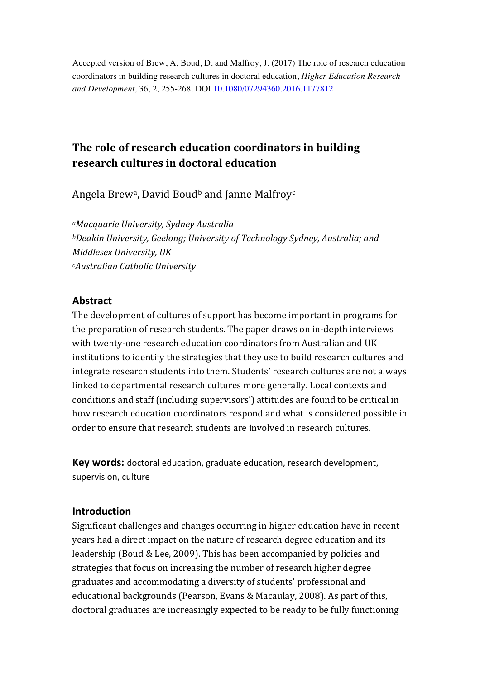Accepted version of Brew, A, Boud, D. and Malfroy, J. (2017) The role of research education coordinators in building research cultures in doctoral education, *Higher Education Research and Development,* 36, 2, 255-268. DOI 10.1080/07294360.2016.1177812

# The role of research education coordinators in building **research cultures in doctoral education**

Angela Brew<sup>a</sup>, David Boud<sup>b</sup> and Janne Malfroy<sup>c</sup>

*aMacquarie University, Sydney Australia bDeakin University, Geelong; University of Technology Sydney, Australia; and Middlesex University, UK cAustralian Catholic University*

### **Abstract**

The development of cultures of support has become important in programs for the preparation of research students. The paper draws on in-depth interviews with twenty-one research education coordinators from Australian and UK institutions to identify the strategies that they use to build research cultures and integrate research students into them. Students' research cultures are not always linked to departmental research cultures more generally. Local contexts and conditions and staff (including supervisors') attitudes are found to be critical in how research education coordinators respond and what is considered possible in order to ensure that research students are involved in research cultures.

**Key words:** doctoral education, graduate education, research development, supervision, culture

### **Introduction**

Significant challenges and changes occurring in higher education have in recent years had a direct impact on the nature of research degree education and its leadership (Boud & Lee, 2009). This has been accompanied by policies and strategies that focus on increasing the number of research higher degree graduates and accommodating a diversity of students' professional and educational backgrounds (Pearson, Evans & Macaulay, 2008). As part of this, doctoral graduates are increasingly expected to be ready to be fully functioning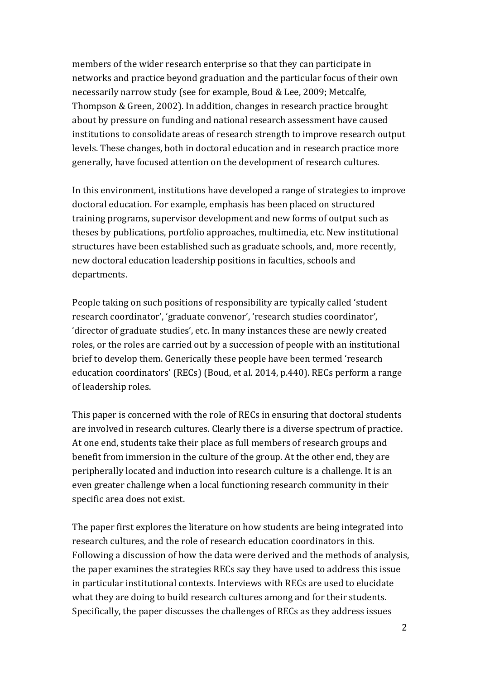members of the wider research enterprise so that they can participate in networks and practice beyond graduation and the particular focus of their own necessarily narrow study (see for example, Boud & Lee, 2009; Metcalfe, Thompson & Green, 2002). In addition, changes in research practice brought about by pressure on funding and national research assessment have caused institutions to consolidate areas of research strength to improve research output levels. These changes, both in doctoral education and in research practice more generally, have focused attention on the development of research cultures.

In this environment, institutions have developed a range of strategies to improve doctoral education. For example, emphasis has been placed on structured training programs, supervisor development and new forms of output such as theses by publications, portfolio approaches, multimedia, etc. New institutional structures have been established such as graduate schools, and, more recently, new doctoral education leadership positions in faculties, schools and departments.

People taking on such positions of responsibility are typically called 'student research coordinator', 'graduate convenor', 'research studies coordinator', 'director of graduate studies', etc. In many instances these are newly created roles, or the roles are carried out by a succession of people with an institutional brief to develop them. Generically these people have been termed 'research education coordinators' (RECs) (Boud, et al. 2014, p.440). RECs perform a range of leadership roles.

This paper is concerned with the role of RECs in ensuring that doctoral students are involved in research cultures. Clearly there is a diverse spectrum of practice. At one end, students take their place as full members of research groups and benefit from immersion in the culture of the group. At the other end, they are peripherally located and induction into research culture is a challenge. It is an even greater challenge when a local functioning research community in their specific area does not exist.

The paper first explores the literature on how students are being integrated into research cultures, and the role of research education coordinators in this. Following a discussion of how the data were derived and the methods of analysis, the paper examines the strategies RECs say they have used to address this issue in particular institutional contexts. Interviews with RECs are used to elucidate what they are doing to build research cultures among and for their students. Specifically, the paper discusses the challenges of RECs as they address issues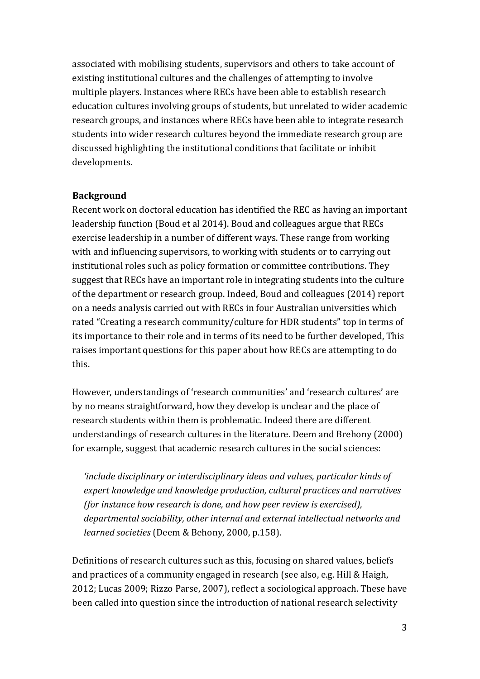associated with mobilising students, supervisors and others to take account of existing institutional cultures and the challenges of attempting to involve multiple players. Instances where RECs have been able to establish research education cultures involving groups of students, but unrelated to wider academic research groups, and instances where RECs have been able to integrate research students into wider research cultures beyond the immediate research group are discussed highlighting the institutional conditions that facilitate or inhibit developments.

#### **Background**

Recent work on doctoral education has identified the REC as having an important leadership function (Boud et al 2014). Boud and colleagues argue that RECs exercise leadership in a number of different ways. These range from working with and influencing supervisors, to working with students or to carrying out institutional roles such as policy formation or committee contributions. They suggest that RECs have an important role in integrating students into the culture of the department or research group. Indeed, Boud and colleagues (2014) report on a needs analysis carried out with RECs in four Australian universities which rated "Creating a research community/culture for HDR students" top in terms of its importance to their role and in terms of its need to be further developed, This raises important questions for this paper about how RECs are attempting to do this. 

However, understandings of 'research communities' and 'research cultures' are by no means straightforward, how they develop is unclear and the place of research students within them is problematic. Indeed there are different understandings of research cultures in the literature. Deem and Brehony (2000) for example, suggest that academic research cultures in the social sciences:

'include disciplinary or interdisciplinary ideas and values, particular kinds of *expert knowledge and knowledge production, cultural practices and narratives (for instance how research is done, and how peer review is exercised),* departmental sociability, other internal and external intellectual networks and *learned societies* (Deem & Behony, 2000, p.158).

Definitions of research cultures such as this, focusing on shared values, beliefs and practices of a community engaged in research (see also, e.g. Hill & Haigh, 2012; Lucas 2009; Rizzo Parse, 2007), reflect a sociological approach. These have been called into question since the introduction of national research selectivity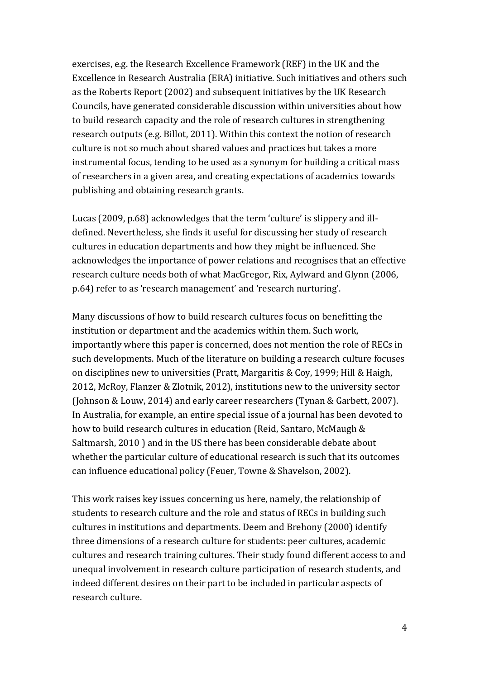exercises, e.g. the Research Excellence Framework (REF) in the UK and the Excellence in Research Australia (ERA) initiative. Such initiatives and others such as the Roberts Report (2002) and subsequent initiatives by the UK Research Councils, have generated considerable discussion within universities about how to build research capacity and the role of research cultures in strengthening research outputs (e.g. Billot, 2011). Within this context the notion of research culture is not so much about shared values and practices but takes a more instrumental focus, tending to be used as a synonym for building a critical mass of researchers in a given area, and creating expectations of academics towards publishing and obtaining research grants.

Lucas (2009, p.68) acknowledges that the term 'culture' is slippery and illdefined. Nevertheless, she finds it useful for discussing her study of research cultures in education departments and how they might be influenced. She acknowledges the importance of power relations and recognises that an effective research culture needs both of what MacGregor, Rix, Aylward and Glynn (2006, p.64) refer to as 'research management' and 'research nurturing'.

Many discussions of how to build research cultures focus on benefitting the institution or department and the academics within them. Such work, importantly where this paper is concerned, does not mention the role of RECs in such developments. Much of the literature on building a research culture focuses on disciplines new to universities (Pratt, Margaritis & Coy, 1999; Hill & Haigh, 2012, McRoy, Flanzer & Zlotnik, 2012), institutions new to the university sector (Johnson & Louw, 2014) and early career researchers (Tynan & Garbett, 2007). In Australia, for example, an entire special issue of a journal has been devoted to how to build research cultures in education (Reid, Santaro, McMaugh & Saltmarsh, 2010) and in the US there has been considerable debate about whether the particular culture of educational research is such that its outcomes can influence educational policy (Feuer, Towne & Shavelson, 2002).

This work raises key issues concerning us here, namely, the relationship of students to research culture and the role and status of RECs in building such cultures in institutions and departments. Deem and Brehony (2000) identify three dimensions of a research culture for students: peer cultures, academic cultures and research training cultures. Their study found different access to and unequal involvement in research culture participation of research students, and indeed different desires on their part to be included in particular aspects of research culture.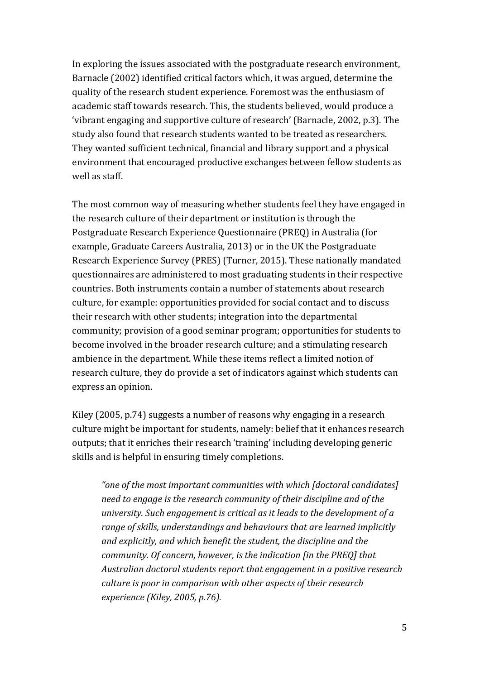In exploring the issues associated with the postgraduate research environment, Barnacle (2002) identified critical factors which, it was argued, determine the quality of the research student experience. Foremost was the enthusiasm of academic staff towards research. This, the students believed, would produce a 'vibrant engaging and supportive culture of research' (Barnacle, 2002, p.3). The study also found that research students wanted to be treated as researchers. They wanted sufficient technical, financial and library support and a physical environment that encouraged productive exchanges between fellow students as well as staff.

The most common way of measuring whether students feel they have engaged in the research culture of their department or institution is through the Postgraduate Research Experience Questionnaire (PREQ) in Australia (for example, Graduate Careers Australia, 2013) or in the UK the Postgraduate Research Experience Survey (PRES) (Turner, 2015). These nationally mandated questionnaires are administered to most graduating students in their respective countries. Both instruments contain a number of statements about research culture, for example: opportunities provided for social contact and to discuss their research with other students; integration into the departmental community; provision of a good seminar program; opportunities for students to become involved in the broader research culture; and a stimulating research ambience in the department. While these items reflect a limited notion of research culture, they do provide a set of indicators against which students can express an opinion.

Kiley  $(2005, p.74)$  suggests a number of reasons why engaging in a research culture might be important for students, namely: belief that it enhances research outputs; that it enriches their research 'training' including developing generic skills and is helpful in ensuring timely completions.

"one of the most important communities with which *[doctoral candidates] need to engage is the research community of their discipline and of the university.* Such engagement is critical as it leads to the development of a *range of skills, understandings and behaviours that are learned implicitly* and explicitly, and which benefit the student, the discipline and the *community.* Of concern, however, is the indication [in the PREQ] that Australian doctoral students report that engagement in a positive research *culture is poor in comparison with other aspects of their research experience* (*Kiley, 2005, p.76*).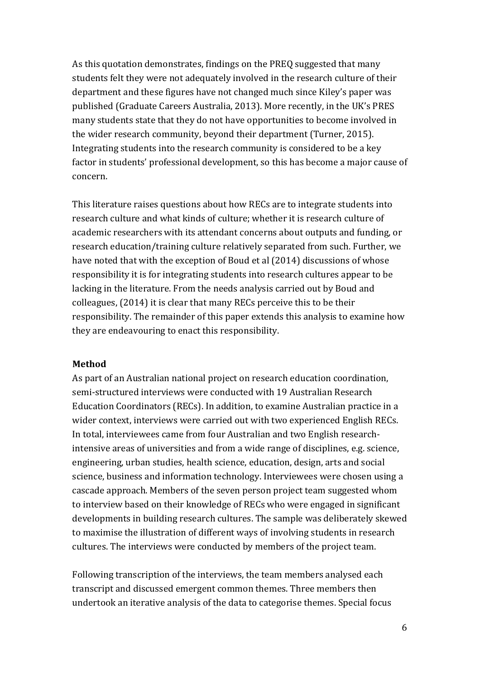As this quotation demonstrates, findings on the PREQ suggested that many students felt they were not adequately involved in the research culture of their department and these figures have not changed much since Kiley's paper was published (Graduate Careers Australia, 2013). More recently, in the UK's PRES many students state that they do not have opportunities to become involved in the wider research community, beyond their department (Turner, 2015). Integrating students into the research community is considered to be a key factor in students' professional development, so this has become a major cause of concern.

This literature raises questions about how RECs are to integrate students into research culture and what kinds of culture; whether it is research culture of academic researchers with its attendant concerns about outputs and funding, or research education/training culture relatively separated from such. Further, we have noted that with the exception of Boud et al (2014) discussions of whose responsibility it is for integrating students into research cultures appear to be lacking in the literature. From the needs analysis carried out by Boud and colleagues, (2014) it is clear that many RECs perceive this to be their responsibility. The remainder of this paper extends this analysis to examine how they are endeavouring to enact this responsibility.

#### **Method**

As part of an Australian national project on research education coordination, semi-structured interviews were conducted with 19 Australian Research Education Coordinators (RECs). In addition, to examine Australian practice in a wider context, interviews were carried out with two experienced English RECs. In total, interviewees came from four Australian and two English researchintensive areas of universities and from a wide range of disciplines, e.g. science, engineering, urban studies, health science, education, design, arts and social science, business and information technology. Interviewees were chosen using a cascade approach. Members of the seven person project team suggested whom to interview based on their knowledge of RECs who were engaged in significant developments in building research cultures. The sample was deliberately skewed to maximise the illustration of different ways of involving students in research cultures. The interviews were conducted by members of the project team.

Following transcription of the interviews, the team members analysed each transcript and discussed emergent common themes. Three members then undertook an iterative analysis of the data to categorise themes. Special focus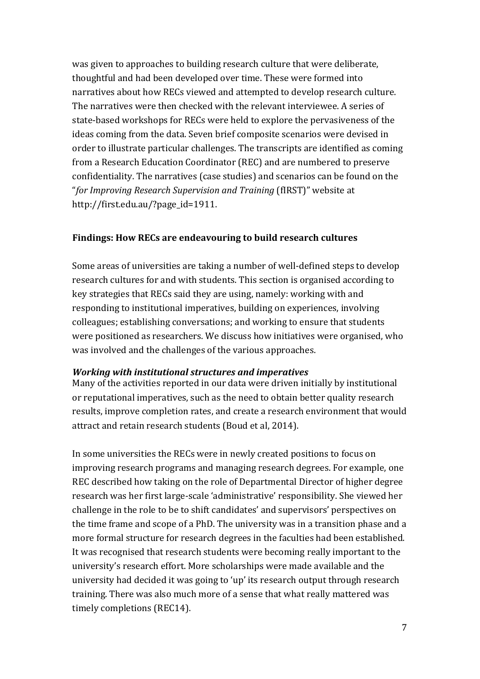was given to approaches to building research culture that were deliberate, thoughtful and had been developed over time. These were formed into narratives about how RECs viewed and attempted to develop research culture. The narratives were then checked with the relevant interviewee. A series of state-based workshops for RECs were held to explore the pervasiveness of the ideas coming from the data. Seven brief composite scenarios were devised in order to illustrate particular challenges. The transcripts are identified as coming from a Research Education Coordinator (REC) and are numbered to preserve confidentiality. The narratives (case studies) and scenarios can be found on the "for Improving Research Supervision and Training (fIRST)" website at http://first.edu.au/?page\_id=1911.

#### **Findings: How RECs are endeavouring to build research cultures**

Some areas of universities are taking a number of well-defined steps to develop research cultures for and with students. This section is organised according to key strategies that RECs said they are using, namely: working with and responding to institutional imperatives, building on experiences, involving colleagues; establishing conversations; and working to ensure that students were positioned as researchers. We discuss how initiatives were organised, who was involved and the challenges of the various approaches.

#### *Working with institutional structures and imperatives*

Many of the activities reported in our data were driven initially by institutional or reputational imperatives, such as the need to obtain better quality research results, improve completion rates, and create a research environment that would attract and retain research students (Boud et al, 2014).

In some universities the RECs were in newly created positions to focus on improving research programs and managing research degrees. For example, one REC described how taking on the role of Departmental Director of higher degree research was her first large-scale 'administrative' responsibility. She viewed her challenge in the role to be to shift candidates' and supervisors' perspectives on the time frame and scope of a PhD. The university was in a transition phase and a more formal structure for research degrees in the faculties had been established. It was recognised that research students were becoming really important to the university's research effort. More scholarships were made available and the university had decided it was going to 'up' its research output through research training. There was also much more of a sense that what really mattered was timely completions (REC14).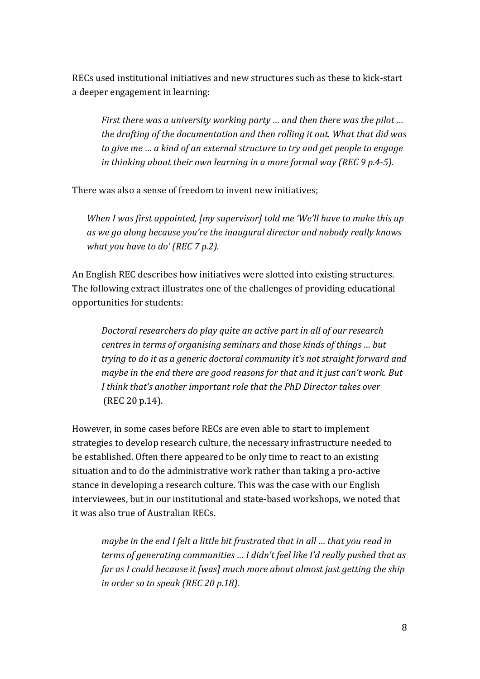RECs used institutional initiatives and new structures such as these to kick-start a deeper engagement in learning:

*First there was a university working party ... and then there was the pilot ... the drafting of the documentation and then rolling it out. What that did was to give me ... a kind of an external structure to try and get people to engage in thinking about their own learning in a more formal way (REC* 9 p.4-5).

There was also a sense of freedom to invent new initiatives:

*When I was first appointed, [my supervisor] told me 'We'll have to make this up* as we go along because you're the inaugural director and nobody really knows *what you have to do'* (*REC 7 p.2*).

An English REC describes how initiatives were slotted into existing structures. The following extract illustrates one of the challenges of providing educational opportunities for students:

*Doctoral researchers do play quite an active part in all of our research centres in terms of organising seminars and those kinds of things ... but trying to do it as a generic doctoral community it's not straight forward and maybe in the end there are good reasons for that and it just can't work. But I* think that's another important role that the PhD Director takes over (REC 20 p.14).

However, in some cases before RECs are even able to start to implement strategies to develop research culture, the necessary infrastructure needed to be established. Often there appeared to be only time to react to an existing situation and to do the administrative work rather than taking a pro-active stance in developing a research culture. This was the case with our English interviewees, but in our institutional and state-based workshops, we noted that it was also true of Australian RECs.

*maybe* in the end I felt a little bit frustrated that in all ... that you read in *terms of generating communities ... I didn't feel like I'd really pushed that as far as I could because it [was] much more about almost just getting the ship in order so to speak (REC 20 p.18).*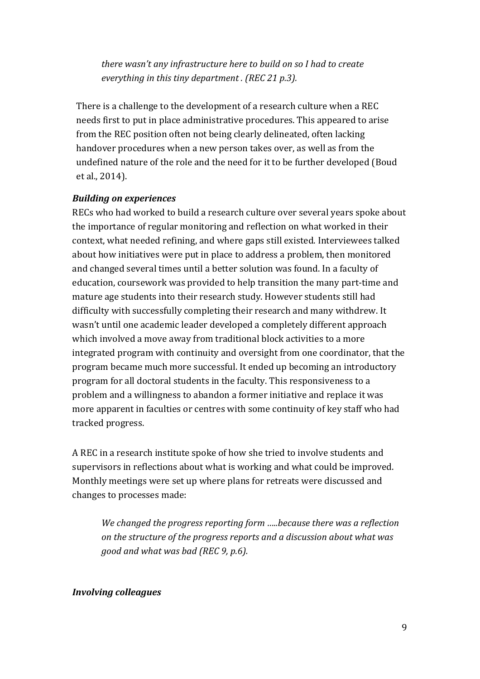*there* wasn't any infrastructure here to build on so I had to create *everything in this tiny department . (REC 21 p.3).* 

There is a challenge to the development of a research culture when a REC needs first to put in place administrative procedures. This appeared to arise from the REC position often not being clearly delineated, often lacking handover procedures when a new person takes over, as well as from the undefined nature of the role and the need for it to be further developed (Boud et al., 2014).

#### *Building on experiences*

RECs who had worked to build a research culture over several years spoke about the importance of regular monitoring and reflection on what worked in their context, what needed refining, and where gaps still existed. Interviewees talked about how initiatives were put in place to address a problem, then monitored and changed several times until a better solution was found. In a faculty of education, coursework was provided to help transition the many part-time and mature age students into their research study. However students still had difficulty with successfully completing their research and many withdrew. It wasn't until one academic leader developed a completely different approach which involved a move away from traditional block activities to a more integrated program with continuity and oversight from one coordinator, that the program became much more successful. It ended up becoming an introductory program for all doctoral students in the faculty. This responsiveness to a problem and a willingness to abandon a former initiative and replace it was more apparent in faculties or centres with some continuity of key staff who had tracked progress.

A REC in a research institute spoke of how she tried to involve students and supervisors in reflections about what is working and what could be improved. Monthly meetings were set up where plans for retreats were discussed and changes to processes made:

We changed the progress reporting form .....because there was a reflection on the structure of the progress reports and a discussion about what was *good and what was bad (REC 9, p.6).* 

#### *Involving colleagues*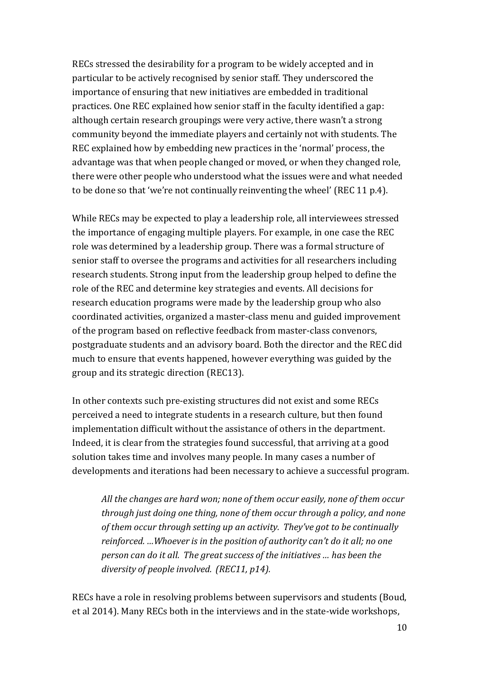RECs stressed the desirability for a program to be widely accepted and in particular to be actively recognised by senior staff. They underscored the importance of ensuring that new initiatives are embedded in traditional practices. One REC explained how senior staff in the faculty identified a gap: although certain research groupings were very active, there wasn't a strong community beyond the immediate players and certainly not with students. The REC explained how by embedding new practices in the 'normal' process, the advantage was that when people changed or moved, or when they changed role, there were other people who understood what the issues were and what needed to be done so that 'we're not continually reinventing the wheel' (REC 11  $p.4$ ).

While RECs may be expected to play a leadership role, all interviewees stressed the importance of engaging multiple players. For example, in one case the REC role was determined by a leadership group. There was a formal structure of senior staff to oversee the programs and activities for all researchers including research students. Strong input from the leadership group helped to define the role of the REC and determine key strategies and events. All decisions for research education programs were made by the leadership group who also coordinated activities, organized a master-class menu and guided improvement of the program based on reflective feedback from master-class convenors, postgraduate students and an advisory board. Both the director and the REC did much to ensure that events happened, however everything was guided by the group and its strategic direction (REC13).

In other contexts such pre-existing structures did not exist and some RECs perceived a need to integrate students in a research culture, but then found implementation difficult without the assistance of others in the department. Indeed, it is clear from the strategies found successful, that arriving at a good solution takes time and involves many people. In many cases a number of developments and iterations had been necessary to achieve a successful program.

*All the changes are hard won; none of them occur easily, none of them occur through just doing one thing, none of them occur through a policy, and none of them occur through setting up an activity. They've got to be continually reinforced. …Whoever is in the position of authority can't do it all; no one person can do it all. The great success of the initiatives … has been the diversity of people involved. (REC11, p14).*

RECs have a role in resolving problems between supervisors and students (Boud, et al 2014). Many RECs both in the interviews and in the state-wide workshops,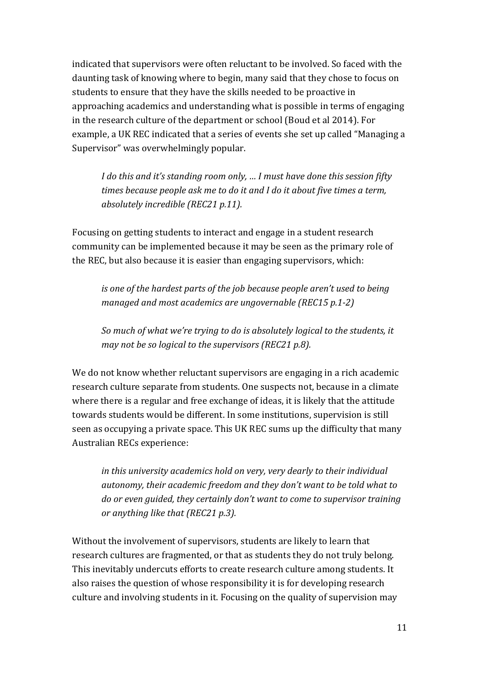indicated that supervisors were often reluctant to be involved. So faced with the daunting task of knowing where to begin, many said that they chose to focus on students to ensure that they have the skills needed to be proactive in approaching academics and understanding what is possible in terms of engaging in the research culture of the department or school (Boud et al 2014). For example, a UK REC indicated that a series of events she set up called "Managing a Supervisor" was overwhelmingly popular.

*I* do this and it's standing room only, ... I must have done this session fifty *times because people ask me to do it and I do it about five times a term, absolutely incredible (REC21 p.11).*

Focusing on getting students to interact and engage in a student research community can be implemented because it may be seen as the primary role of the REC, but also because it is easier than engaging supervisors, which:

*is* one of the hardest parts of the job because people aren't used to being *managed and most academics are ungovernable (REC15 p.1-2)* 

*So* much of what we're trying to do is absolutely logical to the students, it *may not be so logical to the supervisors (REC21 p.8).* 

We do not know whether reluctant supervisors are engaging in a rich academic research culture separate from students. One suspects not, because in a climate where there is a regular and free exchange of ideas, it is likely that the attitude towards students would be different. In some institutions, supervision is still seen as occupying a private space. This UK REC sums up the difficulty that many Australian RECs experience:

*in* this university academics hold on very, very dearly to their individual autonomy, their academic freedom and they don't want to be told what to *do or even guided, they certainly don't want to come to supervisor training or anything like that (REC21 p.3).*

Without the involvement of supervisors, students are likely to learn that research cultures are fragmented, or that as students they do not truly belong. This inevitably undercuts efforts to create research culture among students. It also raises the question of whose responsibility it is for developing research culture and involving students in it. Focusing on the quality of supervision may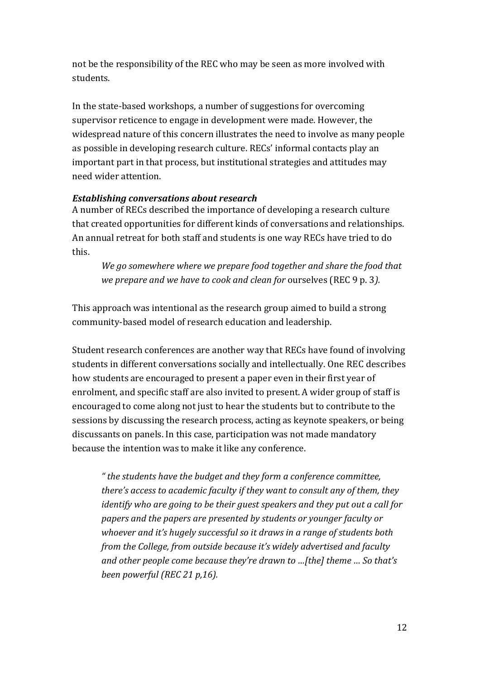not be the responsibility of the REC who may be seen as more involved with students.

In the state-based workshops, a number of suggestions for overcoming supervisor reticence to engage in development were made. However, the widespread nature of this concern illustrates the need to involve as many people as possible in developing research culture. RECs' informal contacts play an important part in that process, but institutional strategies and attitudes may need wider attention.

#### *Establishing conversations about research*

A number of RECs described the importance of developing a research culture that created opportunities for different kinds of conversations and relationships. An annual retreat for both staff and students is one way RECs have tried to do this. 

We go somewhere where we prepare food together and share the food that *we prepare and we have to cook and clean for ourselves (REC* 9 p. 3).

This approach was intentional as the research group aimed to build a strong community-based model of research education and leadership.

Student research conferences are another way that RECs have found of involving students in different conversations socially and intellectually. One REC describes how students are encouraged to present a paper even in their first year of enrolment, and specific staff are also invited to present. A wider group of staff is encouraged to come along not just to hear the students but to contribute to the sessions by discussing the research process, acting as keynote speakers, or being discussants on panels. In this case, participation was not made mandatory because the intention was to make it like any conference.

" *the students have the budget and they form a conference committee, there's access to academic faculty if they want to consult any of them, they identify* who are going to be their guest speakers and they put out a call for papers and the papers are presented by students or younger faculty or whoever and it's hugely successful so it draws in a range of students both *from the College, from outside because it's widely advertised and faculty and other people come because they're drawn to …[the] theme ... So that's been powerful (REC 21 p,16).*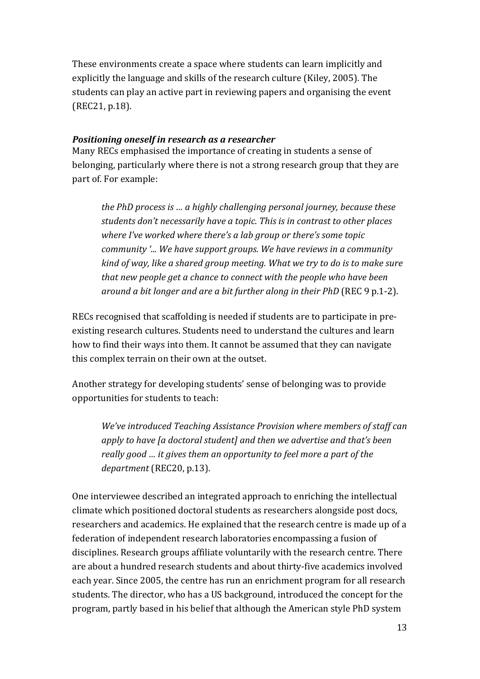These environments create a space where students can learn implicitly and explicitly the language and skills of the research culture (Kiley, 2005). The students can play an active part in reviewing papers and organising the event (REC21, p.18).

### *Positioning oneself in research as a researcher*

Many RECs emphasised the importance of creating in students a sense of belonging, particularly where there is not a strong research group that they are part of. For example:

*the PhD process is ... a highly challenging personal journey, because these* students don't necessarily have a topic. This is in contrast to other places where I've worked where there's a lab group or there's some topic *community*  $\angle$ ... We have support groups. We have reviews in a community *kind of way, like a shared group meeting. What we try to do is to make sure that new people get a chance to connect with the people who have been around a bit longer and are a bit further along in their PhD* (REC 9 p.1-2).

RECs recognised that scaffolding is needed if students are to participate in preexisting research cultures. Students need to understand the cultures and learn how to find their ways into them. It cannot be assumed that they can navigate this complex terrain on their own at the outset.

Another strategy for developing students' sense of belonging was to provide opportunities for students to teach:

*We've* introduced Teaching Assistance Provision where members of staff can apply to have [a doctoral student] and then we advertise and that's been *really good* ... *it gives them an opportunity to feel more a part of the* department (REC20, p.13).

One interviewee described an integrated approach to enriching the intellectual climate which positioned doctoral students as researchers alongside post docs, researchers and academics. He explained that the research centre is made up of a federation of independent research laboratories encompassing a fusion of disciplines. Research groups affiliate voluntarily with the research centre. There are about a hundred research students and about thirty-five academics involved each year. Since 2005, the centre has run an enrichment program for all research students. The director, who has a US background, introduced the concept for the program, partly based in his belief that although the American style PhD system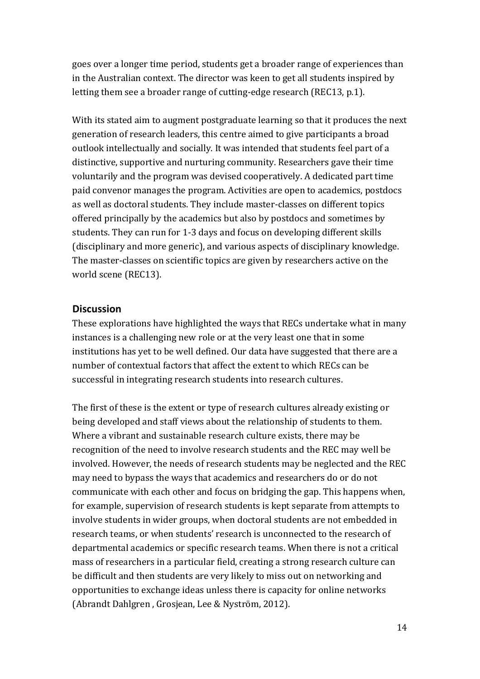goes over a longer time period, students get a broader range of experiences than in the Australian context. The director was keen to get all students inspired by letting them see a broader range of cutting-edge research (REC13, p.1).

With its stated aim to augment postgraduate learning so that it produces the next generation of research leaders, this centre aimed to give participants a broad outlook intellectually and socially. It was intended that students feel part of a distinctive, supportive and nurturing community. Researchers gave their time voluntarily and the program was devised cooperatively. A dedicated part time paid convenor manages the program. Activities are open to academics, postdocs as well as doctoral students. They include master-classes on different topics offered principally by the academics but also by postdocs and sometimes by students. They can run for 1-3 days and focus on developing different skills (disciplinary and more generic), and various aspects of disciplinary knowledge. The master-classes on scientific topics are given by researchers active on the world scene (REC13).

### **Discussion**

These explorations have highlighted the ways that RECs undertake what in many instances is a challenging new role or at the very least one that in some institutions has yet to be well defined. Our data have suggested that there are a number of contextual factors that affect the extent to which RECs can be successful in integrating research students into research cultures.

The first of these is the extent or type of research cultures already existing or being developed and staff views about the relationship of students to them. Where a vibrant and sustainable research culture exists, there may be recognition of the need to involve research students and the REC may well be involved. However, the needs of research students may be neglected and the REC may need to bypass the ways that academics and researchers do or do not communicate with each other and focus on bridging the gap. This happens when, for example, supervision of research students is kept separate from attempts to involve students in wider groups, when doctoral students are not embedded in research teams, or when students' research is unconnected to the research of departmental academics or specific research teams. When there is not a critical mass of researchers in a particular field, creating a strong research culture can be difficult and then students are very likely to miss out on networking and opportunities to exchange ideas unless there is capacity for online networks (Abrandt Dahlgren, Grosjean, Lee & Nyström, 2012).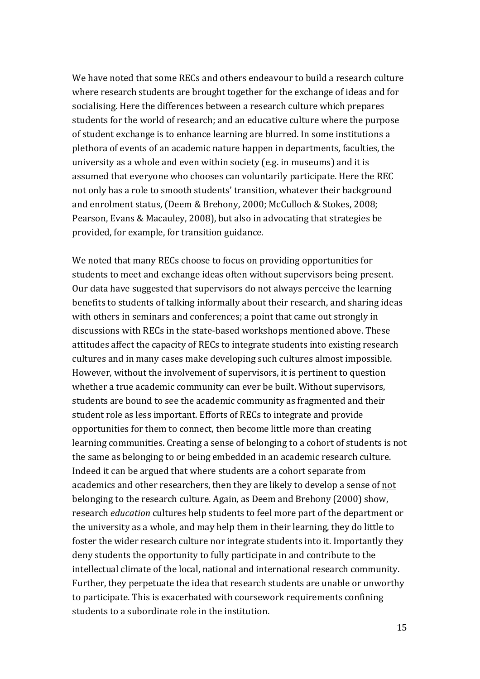We have noted that some RECs and others endeavour to build a research culture where research students are brought together for the exchange of ideas and for socialising. Here the differences between a research culture which prepares students for the world of research; and an educative culture where the purpose of student exchange is to enhance learning are blurred. In some institutions a plethora of events of an academic nature happen in departments, faculties, the university as a whole and even within society (e.g. in museums) and it is assumed that everyone who chooses can voluntarily participate. Here the REC not only has a role to smooth students' transition, whatever their background and enrolment status, (Deem & Brehony, 2000; McCulloch & Stokes, 2008; Pearson, Evans & Macauley, 2008), but also in advocating that strategies be provided, for example, for transition guidance.

We noted that many RECs choose to focus on providing opportunities for students to meet and exchange ideas often without supervisors being present. Our data have suggested that supervisors do not always perceive the learning benefits to students of talking informally about their research, and sharing ideas with others in seminars and conferences; a point that came out strongly in discussions with RECs in the state-based workshops mentioned above. These attitudes affect the capacity of RECs to integrate students into existing research cultures and in many cases make developing such cultures almost impossible. However, without the involvement of supervisors, it is pertinent to question whether a true academic community can ever be built. Without supervisors, students are bound to see the academic community as fragmented and their student role as less important. Efforts of RECs to integrate and provide opportunities for them to connect, then become little more than creating learning communities. Creating a sense of belonging to a cohort of students is not the same as belonging to or being embedded in an academic research culture. Indeed it can be argued that where students are a cohort separate from academics and other researchers, then they are likely to develop a sense of not belonging to the research culture. Again, as Deem and Brehony (2000) show, research *education* cultures help students to feel more part of the department or the university as a whole, and may help them in their learning, they do little to foster the wider research culture nor integrate students into it. Importantly they deny students the opportunity to fully participate in and contribute to the intellectual climate of the local, national and international research community. Further, they perpetuate the idea that research students are unable or unworthy to participate. This is exacerbated with coursework requirements confining students to a subordinate role in the institution.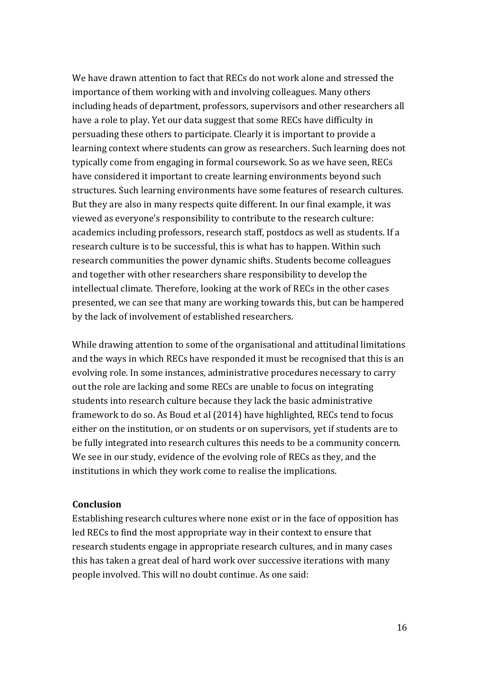We have drawn attention to fact that RECs do not work alone and stressed the importance of them working with and involving colleagues. Many others including heads of department, professors, supervisors and other researchers all have a role to play. Yet our data suggest that some RECs have difficulty in persuading these others to participate. Clearly it is important to provide a learning context where students can grow as researchers. Such learning does not typically come from engaging in formal coursework. So as we have seen, RECs have considered it important to create learning environments beyond such structures. Such learning environments have some features of research cultures. But they are also in many respects quite different. In our final example, it was viewed as everyone's responsibility to contribute to the research culture: academics including professors, research staff, postdocs as well as students. If a research culture is to be successful, this is what has to happen. Within such research communities the power dynamic shifts. Students become colleagues and together with other researchers share responsibility to develop the intellectual climate. Therefore, looking at the work of RECs in the other cases presented, we can see that many are working towards this, but can be hampered by the lack of involvement of established researchers.

While drawing attention to some of the organisational and attitudinal limitations and the ways in which RECs have responded it must be recognised that this is an evolving role. In some instances, administrative procedures necessary to carry out the role are lacking and some RECs are unable to focus on integrating students into research culture because they lack the basic administrative framework to do so. As Boud et al (2014) have highlighted, RECs tend to focus either on the institution, or on students or on supervisors, yet if students are to be fully integrated into research cultures this needs to be a community concern. We see in our study, evidence of the evolving role of RECs as they, and the institutions in which they work come to realise the implications.

#### **Conclusion**

Establishing research cultures where none exist or in the face of opposition has led RECs to find the most appropriate way in their context to ensure that research students engage in appropriate research cultures, and in many cases this has taken a great deal of hard work over successive iterations with many people involved. This will no doubt continue. As one said: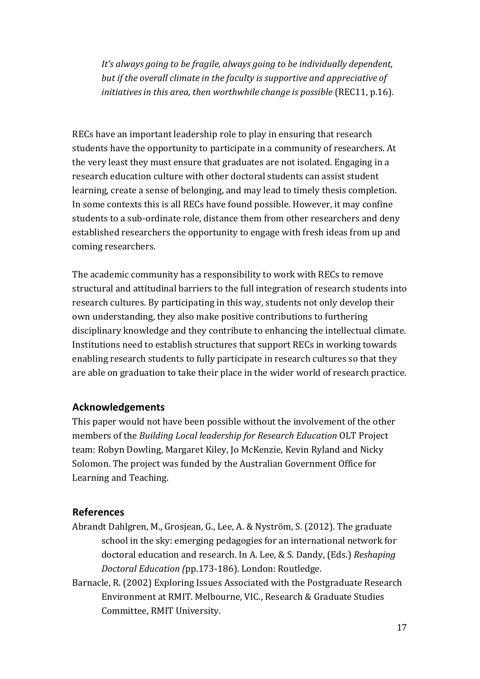*It's always going to be fragile, always going to be individually dependent, but if the overall climate in the faculty is supportive and appreciative of initiativesin this area, then worthwhile change is possible* (REC11, p.16).

RECs have an important leadership role to play in ensuring that research students have the opportunity to participate in a community of researchers. At the very least they must ensure that graduates are not isolated. Engaging in a research education culture with other doctoral students can assist student learning, create a sense of belonging, and may lead to timely thesis completion. In some contexts this is all RECs have found possible. However, it may confine students to a sub-ordinate role, distance them from other researchers and deny established researchers the opportunity to engage with fresh ideas from up and coming researchers.

The academic community has a responsibility to work with RECs to remove structural and attitudinal barriers to the full integration of research students into research cultures. By participating in this way, students not only develop their own understanding, they also make positive contributions to furthering disciplinary knowledge and they contribute to enhancing the intellectual climate. Institutions need to establish structures that support RECs in working towards enabling research students to fully participate in research cultures so that they are able on graduation to take their place in the wider world of research practice.

## **Acknowledgements**

This paper would not have been possible without the involvement of the other members of the *Building Local leadership for Research Education* OLT Project team: Robyn Dowling, Margaret Kiley, Jo McKenzie, Kevin Ryland and Nicky Solomon. The project was funded by the Australian Government Office for Learning and Teaching.

### **References**

- Abrandt Dahlgren, M., Grosjean, G., Lee, A. & Nyström, S. (2012). The graduate school in the sky: emerging pedagogies for an international network for doctoral education and research. In A. Lee, & S. Dandy, (Eds.) *Reshaping Doctoral Education (*pp.173-186). London: Routledge.
- Barnacle, R. (2002) Exploring Issues Associated with the Postgraduate Research Environment at RMIT. Melbourne, VIC., Research & Graduate Studies Committee, RMIT University.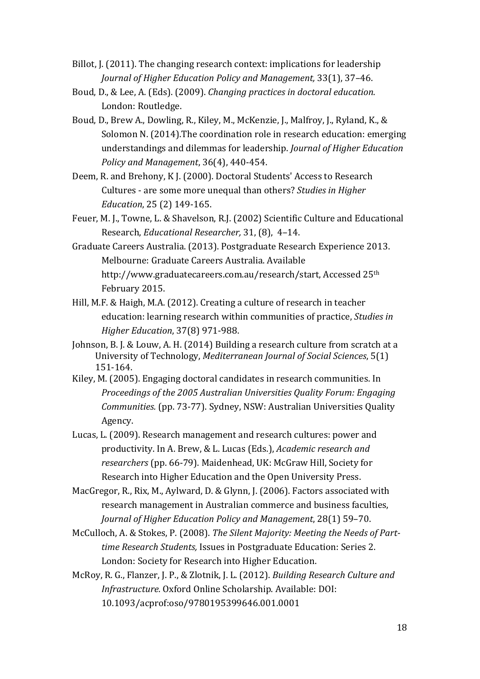- Billot, J. (2011). The changing research context: implications for leadership *Journal of Higher Education Policy and Management, 33(1), 37-46.*
- Boud, D., & Lee, A. (Eds). (2009). *Changing practices in doctoral education*. London: Routledge.
- Boud, D., Brew A., Dowling, R., Kiley, M., McKenzie, J., Malfroy, J., Ryland, K., & Solomon N. (2014). The coordination role in research education: emerging understandings and dilemmas for leadership. *Journal of Higher Education Policy and Management*, 36(4), 440-454.
- Deem, R. and Brehony, K J. (2000). Doctoral Students' Access to Research Cultures - are some more unequal than others? *Studies in Higher Education*, 25 (2) 149-165.
- Feuer, M. J., Towne, L. & Shavelson, R.J. (2002) Scientific Culture and Educational Research, *Educational Researcher*, 31, (8), 4-14.
- Graduate Careers Australia. (2013). Postgraduate Research Experience 2013. Melbourne: Graduate Careers Australia. Available http://www.graduatecareers.com.au/research/start, Accessed 25<sup>th</sup> February 2015.
- Hill, M.F. & Haigh, M.A. (2012). Creating a culture of research in teacher education: learning research within communities of practice, *Studies in Higher Education*, 37(8) 971-988.
- Johnson, B. J. & Louw, A. H. (2014) Building a research culture from scratch at a University of Technology, *Mediterranean Journal of Social Sciences*, 5(1) 151-164.
- Kiley, M. (2005). Engaging doctoral candidates in research communities. In *Proceedings of the 2005 Australian Universities Quality Forum: Engaging Communities.* (pp. 73-77). Sydney, NSW: Australian Universities Quality Agency.
- Lucas, L. (2009). Research management and research cultures: power and productivity. In A. Brew, & L. Lucas (Eds.), *Academic research and* researchers (pp. 66-79). Maidenhead, UK: McGraw Hill, Society for Research into Higher Education and the Open University Press.
- MacGregor, R., Rix, M., Aylward, D. & Glynn, J. (2006). Factors associated with research management in Australian commerce and business faculties, *Journal of Higher Education Policy and Management,* 28(1) 59-70.
- McCulloch, A. & Stokes, P. (2008). *The Silent Majority: Meeting the Needs of Parttime Research Students, Issues in Postgraduate Education: Series 2.* London: Society for Research into Higher Education.
- McRoy, R. G., Flanzer, J. P., & Zlotnik, J. L. (2012). *Building Research Culture and Infrastructure.* Oxford Online Scholarship. Available: DOI: 10.1093/acprof:oso/9780195399646.001.0001